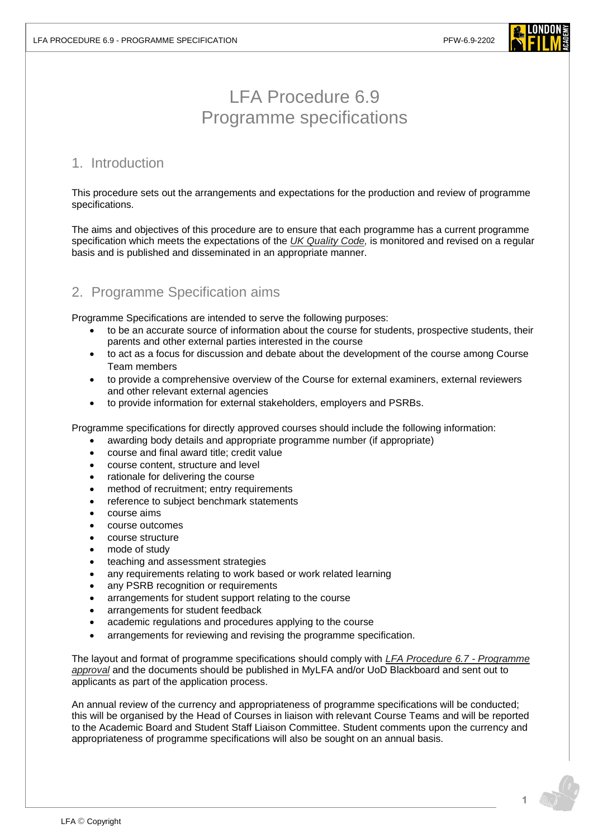

## LFA Procedure 6.9 Programme specifications

## 1. Introduction

This procedure sets out the arrangements and expectations for the production and review of programme specifications.

The aims and objectives of this procedure are to ensure that each programme has a current programme specification which meets the expectations of the *[UK Quality Code,](https://www.qaa.ac.uk/quality-code)* is monitored and revised on a regular basis and is published and disseminated in an appropriate manner.

## 2. Programme Specification aims

Programme Specifications are intended to serve the following purposes:

- to be an accurate source of information about the course for students, prospective students, their parents and other external parties interested in the course
- to act as a focus for discussion and debate about the development of the course among Course Team members
- to provide a comprehensive overview of the Course for external examiners, external reviewers and other relevant external agencies
- to provide information for external stakeholders, employers and PSRBs.

Programme specifications for directly approved courses should include the following information:

- awarding body details and appropriate programme number (if appropriate)
- course and final award title; credit value
- course content, structure and level
- rationale for delivering the course
- method of recruitment; entry requirements
- reference to subject benchmark statements
- course aims
- course outcomes
- course structure
- mode of study
- teaching and assessment strategies
- any requirements relating to work based or work related learning
- any PSRB recognition or requirements
- arrangements for student support relating to the course
- arrangements for student feedback
- academic regulations and procedures applying to the course
- arrangements for reviewing and revising the programme specification.

The layout and format of programme specifications should comply with *[LFA Procedure 6.7](https://www.londonfilmacademy.com/LFA_Procedure_6.7_Programme_approval.pdf) - Programme [approval](https://www.londonfilmacademy.com/LFA_Procedure_6.7_Programme_approval.pdf)* and the documents should be published in MyLFA and/or UoD Blackboard and sent out to applicants as part of the application process.

An annual review of the currency and appropriateness of programme specifications will be conducted; this will be organised by the Head of Courses in liaison with relevant Course Teams and will be reported to the Academic Board and Student Staff Liaison Committee. Student comments upon the currency and appropriateness of programme specifications will also be sought on an annual basis.